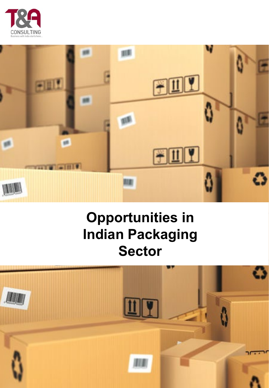



# **Opportunities in Indian Packaging Sector**

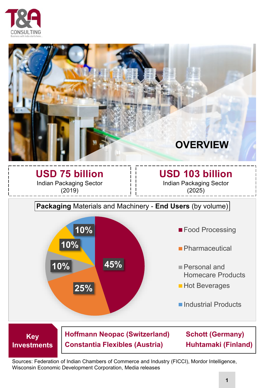



**USD 75 billion** Indian Packaging Sector (2019)

**Investments**

### **USD 103 billion**

Indian Packaging Sector (2025)

### **Packaging** Materials and Machinery - **End Users** (by volume)



**Constantia Flexibles (Austria) Huhtamaki (Finland)**

Sources: Federation of Indian Chambers of Commerce and Industry (FICCI), Mordor Intelligence, Wisconsin Economic Development Corporation, Media releases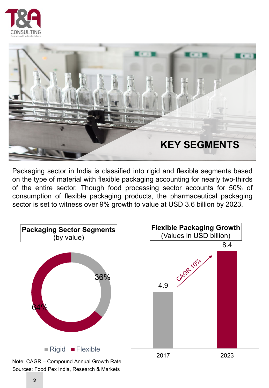



r ackaging sector in mula is classified into rigid and nexible segments based<br>on the type of material with flexible packaging accounting for nearly two-thirds Packaging sector in India is classified into rigid and flexible segments based of the entire sector. Though food processing sector accounts for 50% of consumption of flexible packaging products, the pharmaceutical packaging sector is set to witness over 9% growth to value at USD 3.6 billion by 2023.

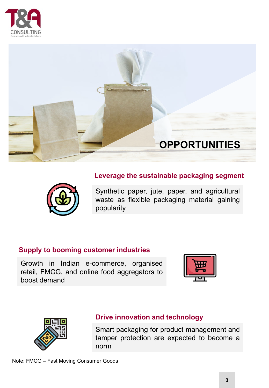



## **Leverage the sustainable packaging segment**



Synthetic paper, jute, paper, and agricultural waste as flexible packaging material gaining popularity

#### **Supply to booming customer industries**

Growth in Indian e-commerce, organised retail, FMCG, and online food aggregators to boost demand





#### **Drive innovation and technology**

Smart packaging for product management and tamper protection are expected to become a norm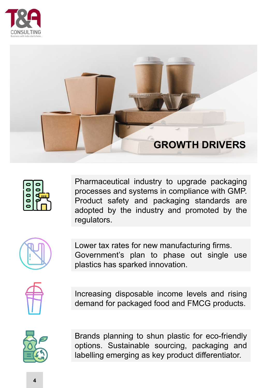





Pharmaceutical industry to upgrade packaging processes and systems in compliance with GMP. Product safety and packaging standards are adopted by the industry and promoted by the regulators.



Lower tax rates for new manufacturing firms. Government's plan to phase out single use plastics has sparked innovation.



Increasing disposable income levels and rising demand for packaged food and FMCG products.



Brands planning to shun plastic for eco-friendly options. Sustainable sourcing, packaging and labelling emerging as key product differentiator.